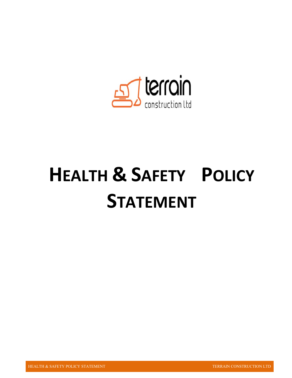

# **HEALTH & SAFETY POLICY STATEMENT**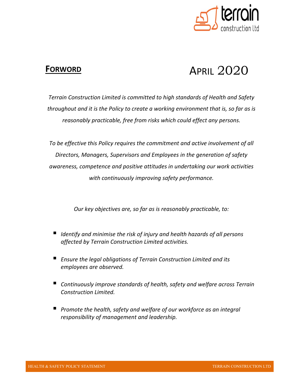

### **FORWORD**

# APRIL 2020

*Terrain Construction Limited is committed to high standards of Health and Safety throughout and it is the Policy to create a working environment that is, so far as is reasonably practicable, free from risks which could effect any persons.* 

*To be effective this Policy requires the commitment and active involvement of all Directors, Managers, Supervisors and Employees in the generation of safety awareness, competence and positive attitudes in undertaking our work activities with continuously improving safety performance.* 

*Our key objectives are, so far as is reasonably practicable, to:* 

- *Identify and minimise the risk of injury and health hazards of all persons affected by Terrain Construction Limited activities.*
- *Ensure the legal obligations of Terrain Construction Limited and its employees are observed.*
- *Continuously improve standards of health, safety and welfare across Terrain Construction Limited.*
- *Promote the health, safety and welfare of our workforce as an integral responsibility of management and leadership.*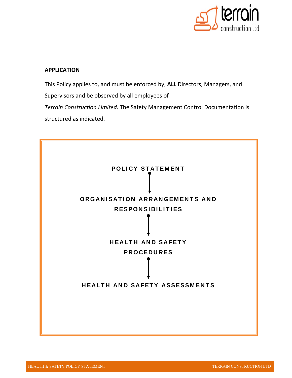

#### **APPLICATION**

This Policy applies to, and must be enforced by, **ALL** Directors, Managers, and Supervisors and be observed by all employees of *Terrain Construction Limited.* The Safety Management Control Documentation is structured as indicated.